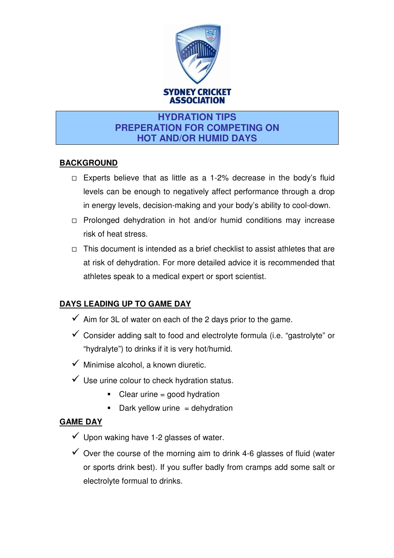

### **HYDRATION TIPS PREPERATION FOR COMPETING ON HOT AND/OR HUMID DAYS**

#### **BACKGROUND**

- $\Box$  Experts believe that as little as a 1-2% decrease in the body's fluid levels can be enough to negatively affect performance through a drop in energy levels, decision-making and your body's ability to cool-down.
- $\Box$  Prolonged dehydration in hot and/or humid conditions may increase risk of heat stress.
- $\Box$  This document is intended as a brief checklist to assist athletes that are at risk of dehydration. For more detailed advice it is recommended that athletes speak to a medical expert or sport scientist.

# **DAYS LEADING UP TO GAME DAY**

- $\checkmark$  Aim for 3L of water on each of the 2 days prior to the game.
- $\checkmark$  Consider adding salt to food and electrolyte formula (i.e. "gastrolyte" or "hydralyte") to drinks if it is very hot/humid.
- $\checkmark$  Minimise alcohol, a known diuretic.
- $\checkmark$  Use urine colour to check hydration status.
	- **-** Clear urine = good hydration
	- **-** Dark yellow urine = dehydration

#### **GAME DAY**

- $\checkmark$  Upon waking have 1-2 glasses of water.
- $\checkmark$  Over the course of the morning aim to drink 4-6 glasses of fluid (water or sports drink best). If you suffer badly from cramps add some salt or electrolyte formual to drinks.